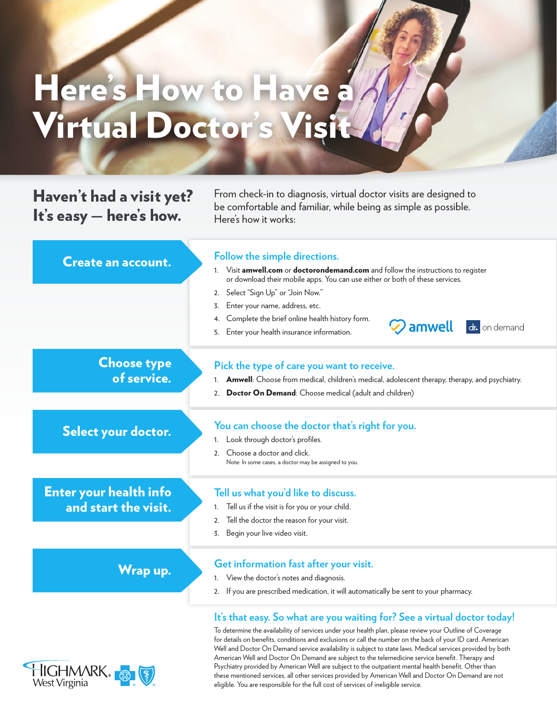## Here's How to Have a Virtual Doctor's Visit

## Haven't had a visit yet? It's easy — here's how.

From check-in to diagnosis, virtual doctor visits are designed to be comfortable and familiar, while being as simple as possible. Here's how it works:

| <b>Create an account.</b>                             | Follow the simple directions.<br>Visit amwell.com or doctorondemand.com and follow the instructions to register<br>1.<br>or download their mobile apps. You can use either or both of these services.<br>2. Select "Sign Up" or "Join Now."<br>Enter your name, address, etc.<br>3.<br>Complete the brief online health history form.<br>4.<br>$\oslash$ amwell<br>dr. on demand<br>5. Enter your health insurance information. |
|-------------------------------------------------------|---------------------------------------------------------------------------------------------------------------------------------------------------------------------------------------------------------------------------------------------------------------------------------------------------------------------------------------------------------------------------------------------------------------------------------|
| <b>Choose type</b><br>of service.                     | Pick the type of care you want to receive.<br><b>Amwell:</b> Choose from medical, children's medical, adolescent therapy, therapy, and psychiatry.<br>1.<br>Doctor On Demand: Choose medical (adult and children)<br>2.                                                                                                                                                                                                         |
| Select your doctor.                                   | You can choose the doctor that's right for you.<br>Look through doctor's profiles.<br>1.<br>Choose a doctor and click.<br>2 <sub>1</sub><br>Note: In some cases, a doctor may be assigned to you.                                                                                                                                                                                                                               |
| <b>Enter your health info</b><br>and start the visit. | Tell us what you'd like to discuss.<br>Tell us if the visit is for you or your child.<br>1.<br>Tell the doctor the reason for your visit.<br>2.<br>Begin your live video visit.<br>3.                                                                                                                                                                                                                                           |
| <b>Wrap up.</b>                                       | Get information fast after your visit.<br>View the doctor's notes and diagnosis.<br>1.<br>2. If you are prescribed medication, it will automatically be sent to your pharmacy.                                                                                                                                                                                                                                                  |
|                                                       | It's that easy. So what are you waiting for? See a virtual doctor today!                                                                                                                                                                                                                                                                                                                                                        |

To determine the availability of services under your health plan, please review your Outline of Coverage for details on benefits, conditions and exclusions or call the number on the back of your ID card. American Well and Doctor On Demand service availability is subject to state laws. Medical services provided by both American Well and Doctor On Demand are subject to the telemedicine service benefit. Therapy and Psychiatry provided by American Well are subject to the outpatient mental health benefit. Other than these mentioned services, all other services provided by American Well and Doctor On Demand are not eligible. You are responsible for the full cost of services of ineligible service.